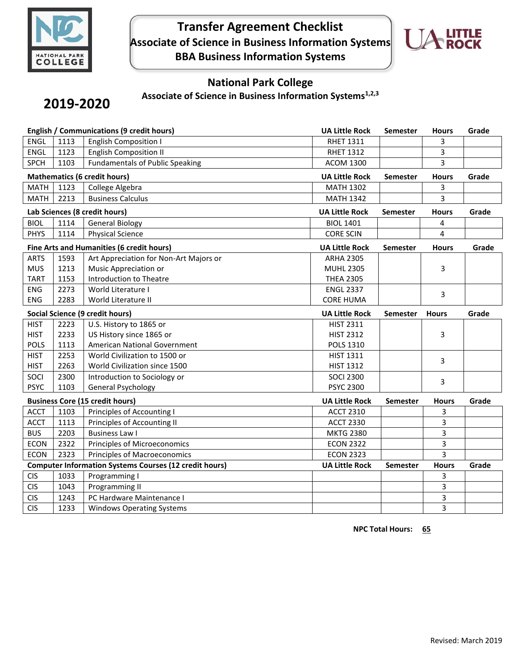

## **Transfer Agreement Checklist Associate of Science in Business Information Systems BBA Business Information Systems**



## **National Park College**

**Associate of Science in Business Information Systems1,2,3**

# **2019-2020**

| <b>English / Communications (9 credit hours)</b>              |      | <b>UA Little Rock</b>                     | <b>Semester</b>       | <b>Hours</b>    | Grade          |       |
|---------------------------------------------------------------|------|-------------------------------------------|-----------------------|-----------------|----------------|-------|
| <b>ENGL</b>                                                   | 1113 | <b>English Composition I</b>              | <b>RHET 1311</b>      |                 | 3              |       |
| <b>ENGL</b>                                                   | 1123 | <b>English Composition II</b>             | <b>RHET 1312</b>      |                 | 3              |       |
| <b>SPCH</b>                                                   | 1103 | <b>Fundamentals of Public Speaking</b>    | <b>ACOM 1300</b>      |                 | $\overline{3}$ |       |
| <b>Mathematics (6 credit hours)</b>                           |      | <b>UA Little Rock</b>                     | <b>Semester</b>       | <b>Hours</b>    | Grade          |       |
| <b>MATH</b>                                                   | 1123 | College Algebra                           | <b>MATH 1302</b>      |                 | 3              |       |
| <b>MATH</b>                                                   | 2213 | <b>Business Calculus</b>                  | <b>MATH 1342</b>      |                 | 3              |       |
|                                                               |      | Lab Sciences (8 credit hours)             | <b>UA Little Rock</b> | <b>Semester</b> | <b>Hours</b>   | Grade |
| <b>BIOL</b><br>1114<br><b>General Biology</b>                 |      | <b>BIOL 1401</b>                          |                       | 4               |                |       |
| <b>PHYS</b>                                                   | 1114 | <b>Physical Science</b>                   | <b>CORE SCIN</b>      |                 | 4              |       |
|                                                               |      | Fine Arts and Humanities (6 credit hours) | <b>UA Little Rock</b> | <b>Semester</b> | <b>Hours</b>   | Grade |
| <b>ARTS</b>                                                   | 1593 | Art Appreciation for Non-Art Majors or    | <b>ARHA 2305</b>      |                 |                |       |
| <b>MUS</b>                                                    | 1213 | Music Appreciation or                     | <b>MUHL 2305</b>      |                 | 3              |       |
| <b>TART</b>                                                   | 1153 | <b>Introduction to Theatre</b>            | <b>THEA 2305</b>      |                 |                |       |
| <b>ENG</b>                                                    | 2273 | World Literature I                        | <b>ENGL 2337</b>      |                 | 3              |       |
| <b>ENG</b>                                                    | 2283 | World Literature II                       | <b>CORE HUMA</b>      |                 |                |       |
| Social Science (9 credit hours)                               |      | <b>UA Little Rock</b>                     | <b>Semester</b>       | <b>Hours</b>    | Grade          |       |
| <b>HIST</b>                                                   | 2223 | U.S. History to 1865 or                   | <b>HIST 2311</b>      |                 |                |       |
| <b>HIST</b>                                                   | 2233 | US History since 1865 or                  | <b>HIST 2312</b>      |                 | 3              |       |
| <b>POLS</b>                                                   | 1113 | American National Government              | <b>POLS 1310</b>      |                 |                |       |
| <b>HIST</b>                                                   | 2253 | World Civilization to 1500 or             | <b>HIST 1311</b>      |                 | 3              |       |
| <b>HIST</b>                                                   | 2263 | World Civilization since 1500             | <b>HIST 1312</b>      |                 |                |       |
| SOCI                                                          | 2300 | Introduction to Sociology or              | <b>SOCI 2300</b>      |                 | 3              |       |
| <b>PSYC</b>                                                   | 1103 | <b>General Psychology</b>                 | <b>PSYC 2300</b>      |                 |                |       |
| <b>Business Core (15 credit hours)</b>                        |      | <b>UA Little Rock</b>                     | Semester              | <b>Hours</b>    | Grade          |       |
| <b>ACCT</b>                                                   | 1103 | Principles of Accounting I                | <b>ACCT 2310</b>      |                 | 3              |       |
| <b>ACCT</b>                                                   | 1113 | Principles of Accounting II               | <b>ACCT 2330</b>      |                 | 3              |       |
| <b>BUS</b>                                                    | 2203 | <b>Business Law I</b>                     | <b>MKTG 2380</b>      |                 | 3              |       |
| <b>ECON</b>                                                   | 2322 | Principles of Microeconomics              | <b>ECON 2322</b>      |                 | 3              |       |
| <b>ECON</b>                                                   | 2323 | <b>Principles of Macroeconomics</b>       | <b>ECON 2323</b>      |                 | 3              |       |
| <b>Computer Information Systems Courses (12 credit hours)</b> |      | <b>UA Little Rock</b>                     | Semester              | <b>Hours</b>    | Grade          |       |
| <b>CIS</b>                                                    | 1033 | Programming I                             |                       |                 | 3              |       |
| <b>CIS</b>                                                    | 1043 | Programming II                            |                       |                 | 3              |       |
| <b>CIS</b>                                                    | 1243 | PC Hardware Maintenance I                 |                       |                 | 3              |       |
| <b>CIS</b>                                                    | 1233 | <b>Windows Operating Systems</b>          |                       |                 | 3              |       |

**NPC** Total Hours: 65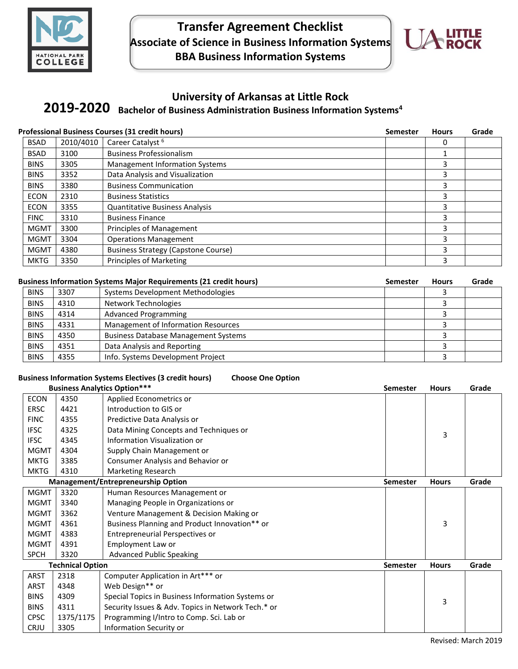

## **Transfer Agreement Checklist Associate of Science in Business Information Systems BBA Business Information Systems**



## **University of Arkansas at Little Rock**

# **Bachelor of Business Administration Business Information Systems<sup>4</sup> 2019-2020**

| <b>Professional Business Courses (31 credit hours)</b> |           |                                            | <b>Semester</b> | <b>Hours</b> | Grade |
|--------------------------------------------------------|-----------|--------------------------------------------|-----------------|--------------|-------|
| <b>BSAD</b>                                            | 2010/4010 | Career Catalyst <sup>6</sup>               |                 | 0            |       |
| <b>BSAD</b>                                            | 3100      | <b>Business Professionalism</b>            |                 |              |       |
| <b>BINS</b>                                            | 3305      | <b>Management Information Systems</b>      |                 | 3            |       |
| <b>BINS</b>                                            | 3352      | Data Analysis and Visualization            |                 | 3            |       |
| <b>BINS</b>                                            | 3380      | <b>Business Communication</b>              |                 | 3            |       |
| <b>ECON</b>                                            | 2310      | <b>Business Statistics</b>                 |                 | 3            |       |
| <b>ECON</b>                                            | 3355      | <b>Quantitative Business Analysis</b>      |                 | 3            |       |
| <b>FINC</b>                                            | 3310      | <b>Business Finance</b>                    |                 | 3            |       |
| <b>MGMT</b>                                            | 3300      | Principles of Management                   |                 | 3            |       |
| <b>MGMT</b>                                            | 3304      | <b>Operations Management</b>               |                 | 3            |       |
| <b>MGMT</b>                                            | 4380      | <b>Business Strategy (Capstone Course)</b> |                 | 3            |       |
| <b>MKTG</b>                                            | 3350      | <b>Principles of Marketing</b>             |                 | 3            |       |

### Business Information Systems Major Requirements (21 credit hours) Semester Hours Grade

| <b>BINS</b> | 3307 | Systems Development Methodologies           |  |  |
|-------------|------|---------------------------------------------|--|--|
| <b>BINS</b> | 4310 | Network Technologies                        |  |  |
| <b>BINS</b> | 4314 | <b>Advanced Programming</b>                 |  |  |
| <b>BINS</b> | 4331 | Management of Information Resources         |  |  |
| <b>BINS</b> | 4350 | <b>Business Database Management Systems</b> |  |  |
| <b>BINS</b> | 4351 | Data Analysis and Reporting                 |  |  |
| <b>BINS</b> | 4355 | Info. Systems Development Project           |  |  |

## **Business Information Systems Electives (3 credit hours) Choose One Option**

| <b>Business Analytics Option***</b> |           |                                                    | <b>Semester</b> | <b>Hours</b> | Grade |
|-------------------------------------|-----------|----------------------------------------------------|-----------------|--------------|-------|
| <b>ECON</b>                         | 4350      | Applied Econometrics or                            |                 |              |       |
| <b>ERSC</b>                         | 4421      | Introduction to GIS or                             |                 |              |       |
| <b>FINC</b>                         | 4355      | Predictive Data Analysis or                        |                 |              |       |
| <b>IFSC</b>                         | 4325      | Data Mining Concepts and Techniques or             |                 | 3            |       |
| <b>IFSC</b>                         | 4345      | Information Visualization or                       |                 |              |       |
| <b>MGMT</b>                         | 4304      | Supply Chain Management or                         |                 |              |       |
| <b>MKTG</b>                         | 3385      | Consumer Analysis and Behavior or                  |                 |              |       |
| <b>MKTG</b>                         | 4310      | <b>Marketing Research</b>                          |                 |              |       |
|                                     |           | Management/Entrepreneurship Option                 | <b>Semester</b> | <b>Hours</b> | Grade |
| <b>MGMT</b>                         | 3320      | Human Resources Management or                      |                 |              |       |
| <b>MGMT</b>                         | 3340      | Managing People in Organizations or                |                 |              |       |
| <b>MGMT</b>                         | 3362      | Venture Management & Decision Making or            |                 |              |       |
| <b>MGMT</b>                         | 4361      | Business Planning and Product Innovation** or      |                 | 3            |       |
| <b>MGMT</b>                         | 4383      | Entrepreneurial Perspectives or                    |                 |              |       |
| <b>MGMT</b>                         | 4391      | Employment Law or                                  |                 |              |       |
| <b>SPCH</b>                         | 3320      | <b>Advanced Public Speaking</b>                    |                 |              |       |
| <b>Technical Option</b>             |           |                                                    | <b>Semester</b> | <b>Hours</b> | Grade |
| ARST                                | 2318      | Computer Application in Art*** or                  |                 |              |       |
| ARST                                | 4348      | Web Design** or                                    |                 |              |       |
| <b>BINS</b>                         | 4309      | Special Topics in Business Information Systems or  |                 | 3            |       |
| <b>BINS</b>                         | 4311      | Security Issues & Adv. Topics in Network Tech.* or |                 |              |       |
| <b>CPSC</b>                         | 1375/1175 | Programming I/Intro to Comp. Sci. Lab or           |                 |              |       |
| <b>CRJU</b>                         | 3305      | Information Security or                            |                 |              |       |